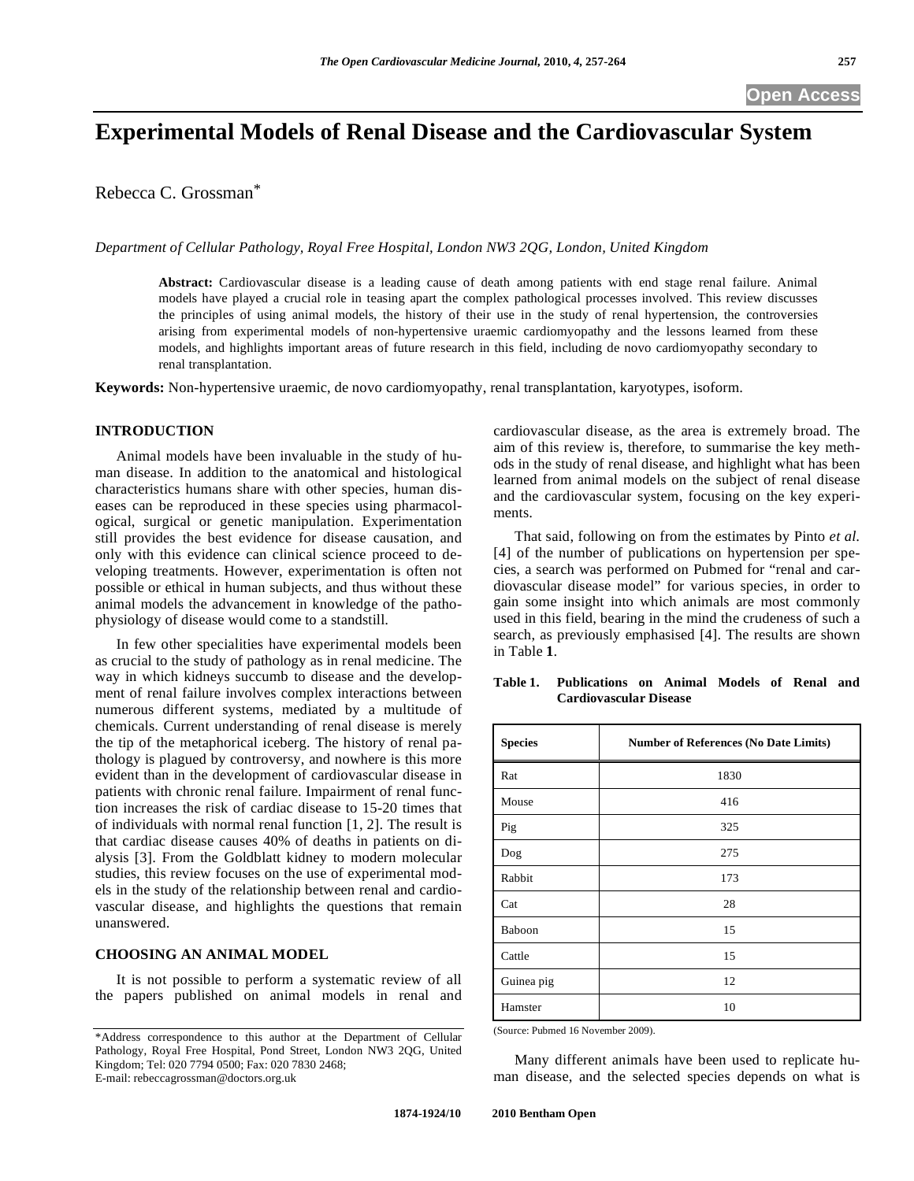# **Experimental Models of Renal Disease and the Cardiovascular System**

Rebecca C. Grossman\*

*Department of Cellular Pathology, Royal Free Hospital, London NW3 2QG, London, United Kingdom* 

**Abstract:** Cardiovascular disease is a leading cause of death among patients with end stage renal failure. Animal models have played a crucial role in teasing apart the complex pathological processes involved. This review discusses the principles of using animal models, the history of their use in the study of renal hypertension, the controversies arising from experimental models of non-hypertensive uraemic cardiomyopathy and the lessons learned from these models, and highlights important areas of future research in this field, including de novo cardiomyopathy secondary to renal transplantation.

**Keywords:** Non-hypertensive uraemic, de novo cardiomyopathy, renal transplantation, karyotypes, isoform.

# **INTRODUCTION**

 Animal models have been invaluable in the study of human disease. In addition to the anatomical and histological characteristics humans share with other species, human diseases can be reproduced in these species using pharmacological, surgical or genetic manipulation. Experimentation still provides the best evidence for disease causation, and only with this evidence can clinical science proceed to developing treatments. However, experimentation is often not possible or ethical in human subjects, and thus without these animal models the advancement in knowledge of the pathophysiology of disease would come to a standstill.

 In few other specialities have experimental models been as crucial to the study of pathology as in renal medicine. The way in which kidneys succumb to disease and the development of renal failure involves complex interactions between numerous different systems, mediated by a multitude of chemicals. Current understanding of renal disease is merely the tip of the metaphorical iceberg. The history of renal pathology is plagued by controversy, and nowhere is this more evident than in the development of cardiovascular disease in patients with chronic renal failure. Impairment of renal function increases the risk of cardiac disease to 15-20 times that of individuals with normal renal function [1, 2]. The result is that cardiac disease causes 40% of deaths in patients on dialysis [3]. From the Goldblatt kidney to modern molecular studies, this review focuses on the use of experimental models in the study of the relationship between renal and cardiovascular disease, and highlights the questions that remain unanswered.

# **CHOOSING AN ANIMAL MODEL**

 It is not possible to perform a systematic review of all the papers published on animal models in renal and cardiovascular disease, as the area is extremely broad. The aim of this review is, therefore, to summarise the key methods in the study of renal disease, and highlight what has been learned from animal models on the subject of renal disease and the cardiovascular system, focusing on the key experiments.

 That said, following on from the estimates by Pinto *et al*. [4] of the number of publications on hypertension per species, a search was performed on Pubmed for "renal and cardiovascular disease model" for various species, in order to gain some insight into which animals are most commonly used in this field, bearing in the mind the crudeness of such a search, as previously emphasised [4]. The results are shown in Table **1**.

| <b>Species</b> | <b>Number of References (No Date Limits)</b> |
|----------------|----------------------------------------------|
| Rat            | 1830                                         |
| Mouse          | 416                                          |
| Pig            | 325                                          |
| Dog            | 275                                          |
| Rabbit         | 173                                          |
| Cat            | 28                                           |
| Baboon         | 15                                           |
| Cattle         | 15                                           |
| Guinea pig     | 12                                           |
| Hamster        | 10                                           |

**Table 1. Publications on Animal Models of Renal and Cardiovascular Disease** 

(Source: Pubmed 16 November 2009).

 Many different animals have been used to replicate human disease, and the selected species depends on what is

<sup>\*</sup>Address correspondence to this author at the Department of Cellular Pathology, Royal Free Hospital, Pond Street, London NW3 2QG, United Kingdom; Tel: 020 7794 0500; Fax: 020 7830 2468; E-mail: rebeccagrossman@doctors.org.uk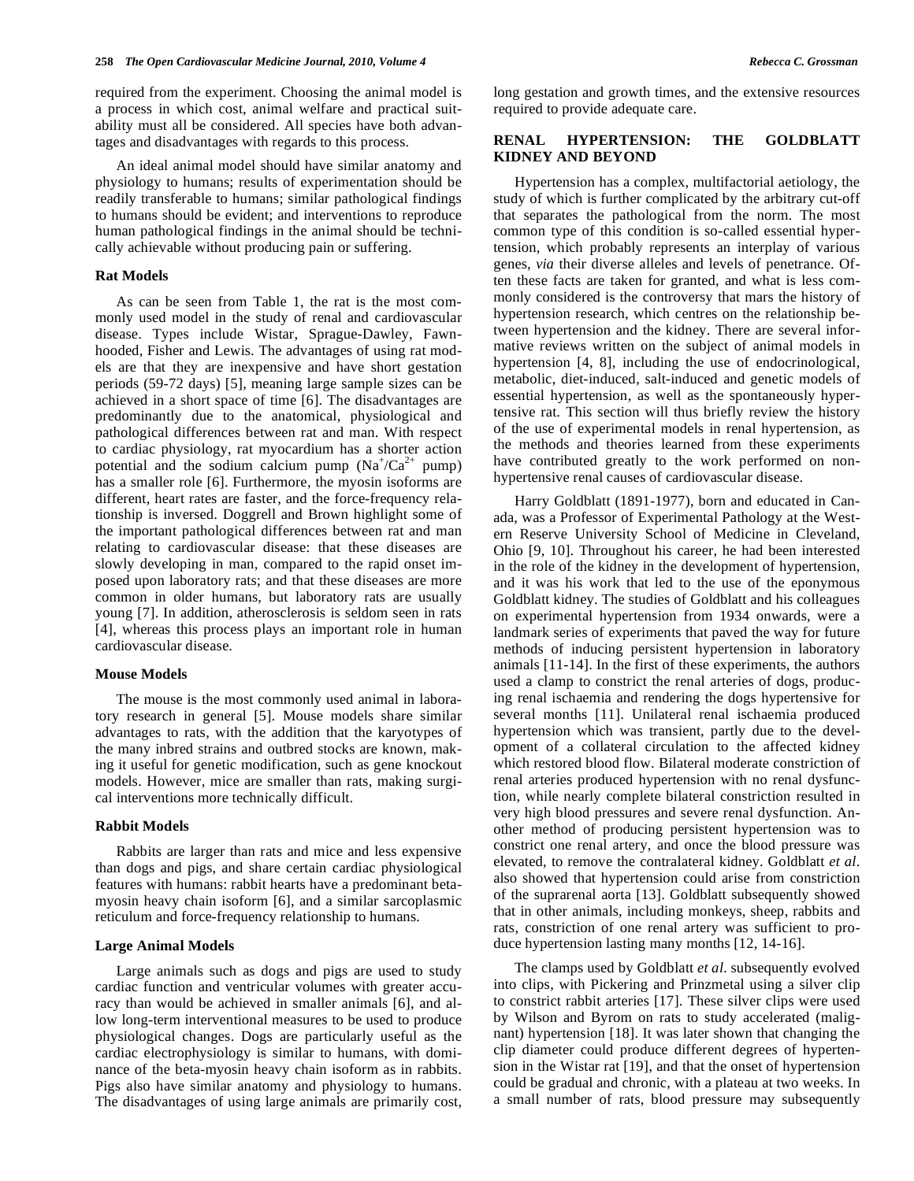required from the experiment. Choosing the animal model is a process in which cost, animal welfare and practical suitability must all be considered. All species have both advantages and disadvantages with regards to this process.

 An ideal animal model should have similar anatomy and physiology to humans; results of experimentation should be readily transferable to humans; similar pathological findings to humans should be evident; and interventions to reproduce human pathological findings in the animal should be technically achievable without producing pain or suffering.

# **Rat Models**

As can be seen from Table 1, the rat is the most commonly used model in the study of renal and cardiovascular disease. Types include Wistar, Sprague-Dawley, Fawnhooded, Fisher and Lewis. The advantages of using rat models are that they are inexpensive and have short gestation periods (59-72 days) [5], meaning large sample sizes can be achieved in a short space of time [6]. The disadvantages are predominantly due to the anatomical, physiological and pathological differences between rat and man. With respect to cardiac physiology, rat myocardium has a shorter action potential and the sodium calcium pump  $(Na^+/Ca^{2+})$  pump) has a smaller role [6]. Furthermore, the myosin isoforms are different, heart rates are faster, and the force-frequency relationship is inversed. Doggrell and Brown highlight some of the important pathological differences between rat and man relating to cardiovascular disease: that these diseases are slowly developing in man, compared to the rapid onset imposed upon laboratory rats; and that these diseases are more common in older humans, but laboratory rats are usually young [7]. In addition, atherosclerosis is seldom seen in rats [4], whereas this process plays an important role in human cardiovascular disease.

#### **Mouse Models**

The mouse is the most commonly used animal in laboratory research in general [5]. Mouse models share similar advantages to rats, with the addition that the karyotypes of the many inbred strains and outbred stocks are known, making it useful for genetic modification, such as gene knockout models. However, mice are smaller than rats, making surgical interventions more technically difficult.

#### **Rabbit Models**

 Rabbits are larger than rats and mice and less expensive than dogs and pigs, and share certain cardiac physiological features with humans: rabbit hearts have a predominant betamyosin heavy chain isoform [6], and a similar sarcoplasmic reticulum and force-frequency relationship to humans.

#### **Large Animal Models**

 Large animals such as dogs and pigs are used to study cardiac function and ventricular volumes with greater accuracy than would be achieved in smaller animals [6], and allow long-term interventional measures to be used to produce physiological changes. Dogs are particularly useful as the cardiac electrophysiology is similar to humans, with dominance of the beta-myosin heavy chain isoform as in rabbits. Pigs also have similar anatomy and physiology to humans. The disadvantages of using large animals are primarily cost, long gestation and growth times, and the extensive resources required to provide adequate care.

#### **RENAL HYPERTENSION: THE GOLDBLATT KIDNEY AND BEYOND**

 Hypertension has a complex, multifactorial aetiology, the study of which is further complicated by the arbitrary cut-off that separates the pathological from the norm. The most common type of this condition is so-called essential hypertension, which probably represents an interplay of various genes, *via* their diverse alleles and levels of penetrance. Often these facts are taken for granted, and what is less commonly considered is the controversy that mars the history of hypertension research, which centres on the relationship between hypertension and the kidney. There are several informative reviews written on the subject of animal models in hypertension [4, 8], including the use of endocrinological, metabolic, diet-induced, salt-induced and genetic models of essential hypertension, as well as the spontaneously hypertensive rat. This section will thus briefly review the history of the use of experimental models in renal hypertension, as the methods and theories learned from these experiments have contributed greatly to the work performed on nonhypertensive renal causes of cardiovascular disease.

 Harry Goldblatt (1891-1977), born and educated in Canada, was a Professor of Experimental Pathology at the Western Reserve University School of Medicine in Cleveland, Ohio [9, 10]. Throughout his career, he had been interested in the role of the kidney in the development of hypertension, and it was his work that led to the use of the eponymous Goldblatt kidney. The studies of Goldblatt and his colleagues on experimental hypertension from 1934 onwards, were a landmark series of experiments that paved the way for future methods of inducing persistent hypertension in laboratory animals [11-14]. In the first of these experiments, the authors used a clamp to constrict the renal arteries of dogs, producing renal ischaemia and rendering the dogs hypertensive for several months [11]. Unilateral renal ischaemia produced hypertension which was transient, partly due to the development of a collateral circulation to the affected kidney which restored blood flow. Bilateral moderate constriction of renal arteries produced hypertension with no renal dysfunction, while nearly complete bilateral constriction resulted in very high blood pressures and severe renal dysfunction. Another method of producing persistent hypertension was to constrict one renal artery, and once the blood pressure was elevated, to remove the contralateral kidney. Goldblatt *et al*. also showed that hypertension could arise from constriction of the suprarenal aorta [13]. Goldblatt subsequently showed that in other animals, including monkeys, sheep, rabbits and rats, constriction of one renal artery was sufficient to produce hypertension lasting many months [12, 14-16].

 The clamps used by Goldblatt *et al*. subsequently evolved into clips, with Pickering and Prinzmetal using a silver clip to constrict rabbit arteries [17]. These silver clips were used by Wilson and Byrom on rats to study accelerated (malignant) hypertension [18]. It was later shown that changing the clip diameter could produce different degrees of hypertension in the Wistar rat [19], and that the onset of hypertension could be gradual and chronic, with a plateau at two weeks. In a small number of rats, blood pressure may subsequently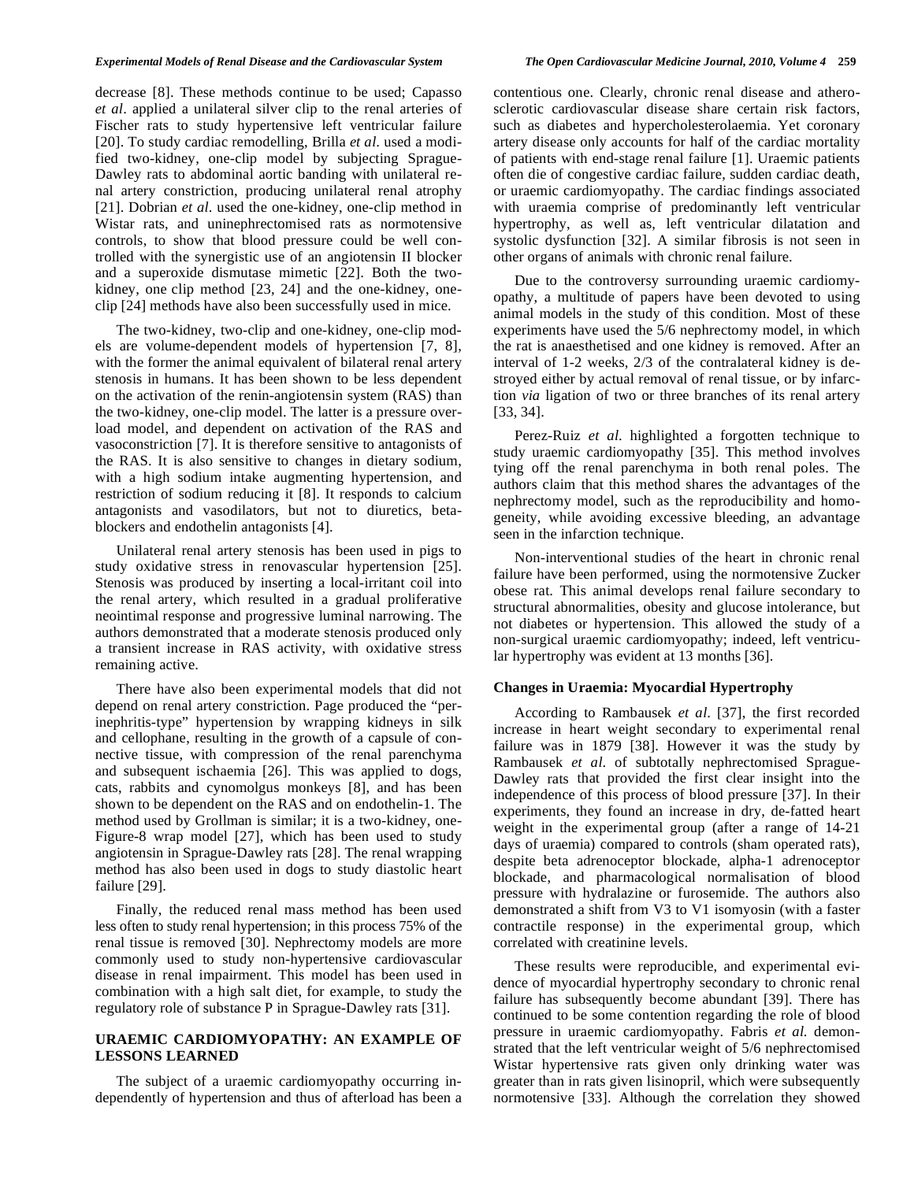#### *Experimental Models of Renal Disease and the Cardiovascular System The Open Cardiovascular Medicine Journal, 2010, Volume 4* **259**

decrease [8]. These methods continue to be used; Capasso *et al*. applied a unilateral silver clip to the renal arteries of Fischer rats to study hypertensive left ventricular failure [20]. To study cardiac remodelling, Brilla *et al*. used a modified two-kidney, one-clip model by subjecting Sprague-Dawley rats to abdominal aortic banding with unilateral renal artery constriction, producing unilateral renal atrophy [21]. Dobrian *et al.* used the one-kidney, one-clip method in Wistar rats, and uninephrectomised rats as normotensive controls, to show that blood pressure could be well controlled with the synergistic use of an angiotensin II blocker and a superoxide dismutase mimetic [22]. Both the twokidney, one clip method [23, 24] and the one-kidney, oneclip [24] methods have also been successfully used in mice.

 The two-kidney, two-clip and one-kidney, one-clip models are volume-dependent models of hypertension [7, 8], with the former the animal equivalent of bilateral renal artery stenosis in humans. It has been shown to be less dependent on the activation of the renin-angiotensin system (RAS) than the two-kidney, one-clip model. The latter is a pressure overload model, and dependent on activation of the RAS and vasoconstriction [7]. It is therefore sensitive to antagonists of the RAS. It is also sensitive to changes in dietary sodium, with a high sodium intake augmenting hypertension, and restriction of sodium reducing it [8]. It responds to calcium antagonists and vasodilators, but not to diuretics, betablockers and endothelin antagonists [4].

 Unilateral renal artery stenosis has been used in pigs to study oxidative stress in renovascular hypertension [25]. Stenosis was produced by inserting a local-irritant coil into the renal artery, which resulted in a gradual proliferative neointimal response and progressive luminal narrowing. The authors demonstrated that a moderate stenosis produced only a transient increase in RAS activity, with oxidative stress remaining active.

 There have also been experimental models that did not depend on renal artery constriction. Page produced the "perinephritis-type" hypertension by wrapping kidneys in silk and cellophane, resulting in the growth of a capsule of connective tissue, with compression of the renal parenchyma and subsequent ischaemia [26]. This was applied to dogs, cats, rabbits and cynomolgus monkeys [8], and has been shown to be dependent on the RAS and on endothelin-1. The method used by Grollman is similar; it is a two-kidney, one-Figure-8 wrap model [27], which has been used to study angiotensin in Sprague-Dawley rats [28]. The renal wrapping method has also been used in dogs to study diastolic heart failure [29].

 Finally, the reduced renal mass method has been used less often to study renal hypertension; in this process 75% of the renal tissue is removed [30]. Nephrectomy models are more commonly used to study non-hypertensive cardiovascular disease in renal impairment. This model has been used in combination with a high salt diet, for example, to study the regulatory role of substance P in Sprague-Dawley rats [31].

### **URAEMIC CARDIOMYOPATHY: AN EXAMPLE OF LESSONS LEARNED**

 The subject of a uraemic cardiomyopathy occurring independently of hypertension and thus of afterload has been a contentious one. Clearly, chronic renal disease and atherosclerotic cardiovascular disease share certain risk factors, such as diabetes and hypercholesterolaemia. Yet coronary artery disease only accounts for half of the cardiac mortality of patients with end-stage renal failure [1]. Uraemic patients often die of congestive cardiac failure, sudden cardiac death, or uraemic cardiomyopathy. The cardiac findings associated with uraemia comprise of predominantly left ventricular hypertrophy, as well as, left ventricular dilatation and systolic dysfunction [32]. A similar fibrosis is not seen in other organs of animals with chronic renal failure.

 Due to the controversy surrounding uraemic cardiomyopathy, a multitude of papers have been devoted to using animal models in the study of this condition. Most of these experiments have used the 5/6 nephrectomy model, in which the rat is anaesthetised and one kidney is removed. After an interval of 1-2 weeks, 2/3 of the contralateral kidney is destroyed either by actual removal of renal tissue, or by infarction *via* ligation of two or three branches of its renal artery [33, 34].

 Perez-Ruiz *et al*. highlighted a forgotten technique to study uraemic cardiomyopathy [35]. This method involves tying off the renal parenchyma in both renal poles. The authors claim that this method shares the advantages of the nephrectomy model, such as the reproducibility and homogeneity, while avoiding excessive bleeding, an advantage seen in the infarction technique.

 Non-interventional studies of the heart in chronic renal failure have been performed, using the normotensive Zucker obese rat. This animal develops renal failure secondary to structural abnormalities, obesity and glucose intolerance, but not diabetes or hypertension. This allowed the study of a non-surgical uraemic cardiomyopathy; indeed, left ventricular hypertrophy was evident at 13 months [36].

#### **Changes in Uraemia: Myocardial Hypertrophy**

 According to Rambausek *et al*. [37], the first recorded increase in heart weight secondary to experimental renal failure was in 1879 [38]. However it was the study by Rambausek *et al*. of subtotally nephrectomised Sprague-Dawley rats that provided the first clear insight into the independence of this process of blood pressure [37]. In their experiments, they found an increase in dry, de-fatted heart weight in the experimental group (after a range of 14-21 days of uraemia) compared to controls (sham operated rats), despite beta adrenoceptor blockade, alpha-1 adrenoceptor blockade, and pharmacological normalisation of blood pressure with hydralazine or furosemide. The authors also demonstrated a shift from V3 to V1 isomyosin (with a faster contractile response) in the experimental group, which correlated with creatinine levels.

 These results were reproducible, and experimental evidence of myocardial hypertrophy secondary to chronic renal failure has subsequently become abundant [39]. There has continued to be some contention regarding the role of blood pressure in uraemic cardiomyopathy. Fabris *et al*. demonstrated that the left ventricular weight of 5/6 nephrectomised Wistar hypertensive rats given only drinking water was greater than in rats given lisinopril, which were subsequently normotensive [33]. Although the correlation they showed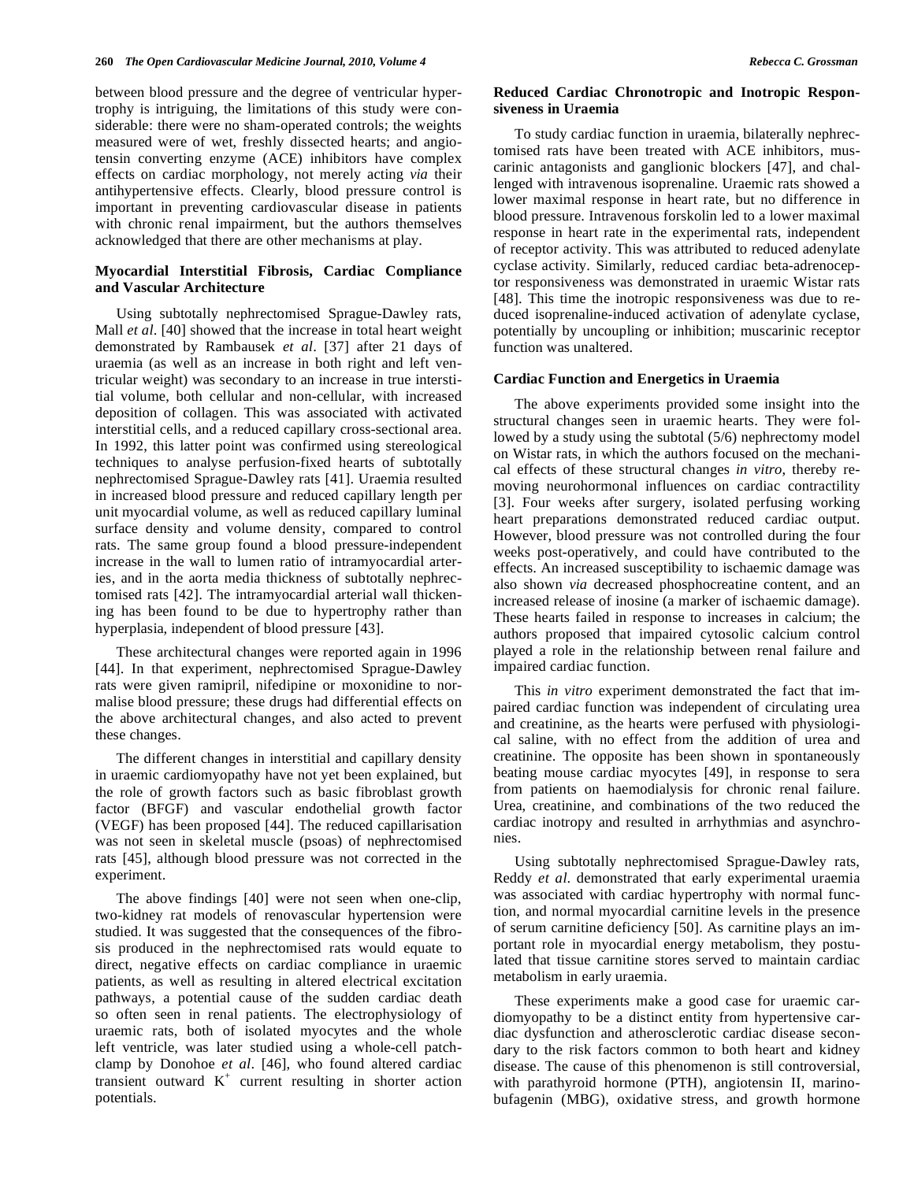between blood pressure and the degree of ventricular hypertrophy is intriguing, the limitations of this study were considerable: there were no sham-operated controls; the weights measured were of wet, freshly dissected hearts; and angiotensin converting enzyme (ACE) inhibitors have complex effects on cardiac morphology, not merely acting *via* their antihypertensive effects. Clearly, blood pressure control is important in preventing cardiovascular disease in patients with chronic renal impairment, but the authors themselves acknowledged that there are other mechanisms at play.

# **Myocardial Interstitial Fibrosis, Cardiac Compliance and Vascular Architecture**

 Using subtotally nephrectomised Sprague-Dawley rats, Mall *et al*. [40] showed that the increase in total heart weight demonstrated by Rambausek *et al*. [37] after 21 days of uraemia (as well as an increase in both right and left ventricular weight) was secondary to an increase in true interstitial volume, both cellular and non-cellular, with increased deposition of collagen. This was associated with activated interstitial cells, and a reduced capillary cross-sectional area. In 1992, this latter point was confirmed using stereological techniques to analyse perfusion-fixed hearts of subtotally nephrectomised Sprague-Dawley rats [41]. Uraemia resulted in increased blood pressure and reduced capillary length per unit myocardial volume, as well as reduced capillary luminal surface density and volume density, compared to control rats. The same group found a blood pressure-independent increase in the wall to lumen ratio of intramyocardial arteries, and in the aorta media thickness of subtotally nephrectomised rats [42]. The intramyocardial arterial wall thickening has been found to be due to hypertrophy rather than hyperplasia, independent of blood pressure [43].

 These architectural changes were reported again in 1996 [44]. In that experiment, nephrectomised Sprague-Dawley rats were given ramipril, nifedipine or moxonidine to normalise blood pressure; these drugs had differential effects on the above architectural changes, and also acted to prevent these changes.

 The different changes in interstitial and capillary density in uraemic cardiomyopathy have not yet been explained, but the role of growth factors such as basic fibroblast growth factor (BFGF) and vascular endothelial growth factor (VEGF) has been proposed [44]. The reduced capillarisation was not seen in skeletal muscle (psoas) of nephrectomised rats [45], although blood pressure was not corrected in the experiment.

 The above findings [40] were not seen when one-clip, two-kidney rat models of renovascular hypertension were studied. It was suggested that the consequences of the fibrosis produced in the nephrectomised rats would equate to direct, negative effects on cardiac compliance in uraemic patients, as well as resulting in altered electrical excitation pathways, a potential cause of the sudden cardiac death so often seen in renal patients. The electrophysiology of uraemic rats, both of isolated myocytes and the whole left ventricle, was later studied using a whole-cell patchclamp by Donohoe *et al*. [46], who found altered cardiac transient outward  $K^+$  current resulting in shorter action potentials.

# **Reduced Cardiac Chronotropic and Inotropic Responsiveness in Uraemia**

 To study cardiac function in uraemia, bilaterally nephrectomised rats have been treated with ACE inhibitors, muscarinic antagonists and ganglionic blockers [47], and challenged with intravenous isoprenaline. Uraemic rats showed a lower maximal response in heart rate, but no difference in blood pressure. Intravenous forskolin led to a lower maximal response in heart rate in the experimental rats, independent of receptor activity. This was attributed to reduced adenylate cyclase activity. Similarly, reduced cardiac beta-adrenoceptor responsiveness was demonstrated in uraemic Wistar rats [48]. This time the inotropic responsiveness was due to reduced isoprenaline-induced activation of adenylate cyclase, potentially by uncoupling or inhibition; muscarinic receptor function was unaltered.

#### **Cardiac Function and Energetics in Uraemia**

 The above experiments provided some insight into the structural changes seen in uraemic hearts. They were followed by a study using the subtotal (5/6) nephrectomy model on Wistar rats, in which the authors focused on the mechanical effects of these structural changes *in vitro*, thereby removing neurohormonal influences on cardiac contractility [3]. Four weeks after surgery, isolated perfusing working heart preparations demonstrated reduced cardiac output. However, blood pressure was not controlled during the four weeks post-operatively, and could have contributed to the effects. An increased susceptibility to ischaemic damage was also shown *via* decreased phosphocreatine content, and an increased release of inosine (a marker of ischaemic damage). These hearts failed in response to increases in calcium; the authors proposed that impaired cytosolic calcium control played a role in the relationship between renal failure and impaired cardiac function.

 This *in vitro* experiment demonstrated the fact that impaired cardiac function was independent of circulating urea and creatinine, as the hearts were perfused with physiological saline, with no effect from the addition of urea and creatinine. The opposite has been shown in spontaneously beating mouse cardiac myocytes [49], in response to sera from patients on haemodialysis for chronic renal failure. Urea, creatinine, and combinations of the two reduced the cardiac inotropy and resulted in arrhythmias and asynchronies.

 Using subtotally nephrectomised Sprague-Dawley rats, Reddy *et al*. demonstrated that early experimental uraemia was associated with cardiac hypertrophy with normal function, and normal myocardial carnitine levels in the presence of serum carnitine deficiency [50]. As carnitine plays an important role in myocardial energy metabolism, they postulated that tissue carnitine stores served to maintain cardiac metabolism in early uraemia.

 These experiments make a good case for uraemic cardiomyopathy to be a distinct entity from hypertensive cardiac dysfunction and atherosclerotic cardiac disease secondary to the risk factors common to both heart and kidney disease. The cause of this phenomenon is still controversial, with parathyroid hormone (PTH), angiotensin II, marinobufagenin (MBG), oxidative stress, and growth hormone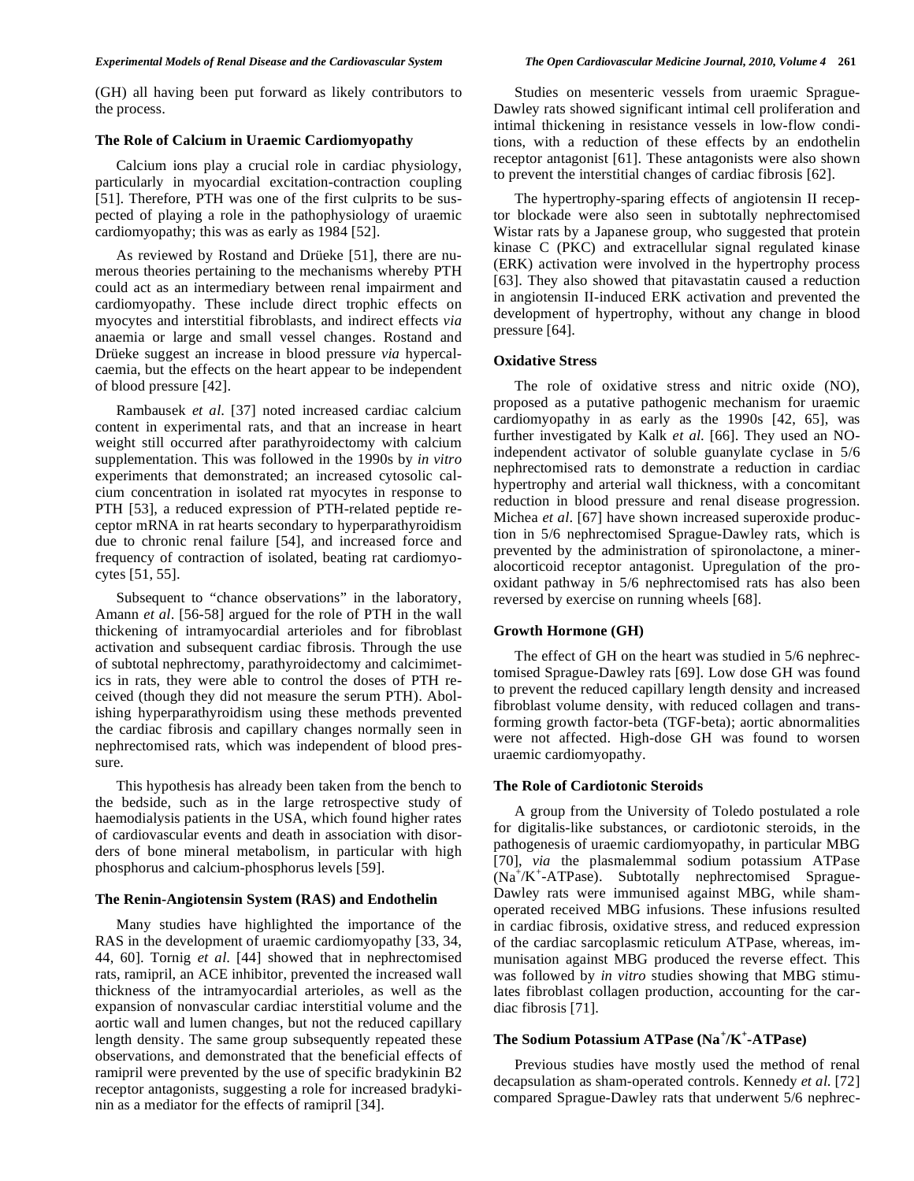(GH) all having been put forward as likely contributors to the process.

#### **The Role of Calcium in Uraemic Cardiomyopathy**

 Calcium ions play a crucial role in cardiac physiology, particularly in myocardial excitation-contraction coupling [51]. Therefore, PTH was one of the first culprits to be suspected of playing a role in the pathophysiology of uraemic cardiomyopathy; this was as early as 1984 [52].

 As reviewed by Rostand and Drüeke [51], there are numerous theories pertaining to the mechanisms whereby PTH could act as an intermediary between renal impairment and cardiomyopathy. These include direct trophic effects on myocytes and interstitial fibroblasts, and indirect effects *via* anaemia or large and small vessel changes. Rostand and Drüeke suggest an increase in blood pressure *via* hypercalcaemia, but the effects on the heart appear to be independent of blood pressure [42].

 Rambausek *et al*. [37] noted increased cardiac calcium content in experimental rats, and that an increase in heart weight still occurred after parathyroidectomy with calcium supplementation. This was followed in the 1990s by *in vitro* experiments that demonstrated; an increased cytosolic calcium concentration in isolated rat myocytes in response to PTH [53], a reduced expression of PTH-related peptide receptor mRNA in rat hearts secondary to hyperparathyroidism due to chronic renal failure [54], and increased force and frequency of contraction of isolated, beating rat cardiomyocytes [51, 55].

 Subsequent to "chance observations" in the laboratory, Amann *et al*. [56-58] argued for the role of PTH in the wall thickening of intramyocardial arterioles and for fibroblast activation and subsequent cardiac fibrosis. Through the use of subtotal nephrectomy, parathyroidectomy and calcimimetics in rats, they were able to control the doses of PTH received (though they did not measure the serum PTH). Abolishing hyperparathyroidism using these methods prevented the cardiac fibrosis and capillary changes normally seen in nephrectomised rats, which was independent of blood pressure.

 This hypothesis has already been taken from the bench to the bedside, such as in the large retrospective study of haemodialysis patients in the USA, which found higher rates of cardiovascular events and death in association with disorders of bone mineral metabolism, in particular with high phosphorus and calcium-phosphorus levels [59].

#### **The Renin-Angiotensin System (RAS) and Endothelin**

 Many studies have highlighted the importance of the RAS in the development of uraemic cardiomyopathy [33, 34, 44, 60]. Tornig *et al*. [44] showed that in nephrectomised rats, ramipril, an ACE inhibitor, prevented the increased wall thickness of the intramyocardial arterioles, as well as the expansion of nonvascular cardiac interstitial volume and the aortic wall and lumen changes, but not the reduced capillary length density. The same group subsequently repeated these observations, and demonstrated that the beneficial effects of ramipril were prevented by the use of specific bradykinin B2 receptor antagonists, suggesting a role for increased bradykinin as a mediator for the effects of ramipril [34].

 Studies on mesenteric vessels from uraemic Sprague-Dawley rats showed significant intimal cell proliferation and intimal thickening in resistance vessels in low-flow conditions, with a reduction of these effects by an endothelin receptor antagonist [61]. These antagonists were also shown to prevent the interstitial changes of cardiac fibrosis [62].

 The hypertrophy-sparing effects of angiotensin II receptor blockade were also seen in subtotally nephrectomised Wistar rats by a Japanese group, who suggested that protein kinase C (PKC) and extracellular signal regulated kinase (ERK) activation were involved in the hypertrophy process [63]. They also showed that pitavastatin caused a reduction in angiotensin II-induced ERK activation and prevented the development of hypertrophy, without any change in blood pressure [64].

#### **Oxidative Stress**

 The role of oxidative stress and nitric oxide (NO), proposed as a putative pathogenic mechanism for uraemic cardiomyopathy in as early as the 1990s [42, 65], was further investigated by Kalk *et al*. [66]. They used an NOindependent activator of soluble guanylate cyclase in 5/6 nephrectomised rats to demonstrate a reduction in cardiac hypertrophy and arterial wall thickness, with a concomitant reduction in blood pressure and renal disease progression. Michea *et al*. [67] have shown increased superoxide production in 5/6 nephrectomised Sprague-Dawley rats, which is prevented by the administration of spironolactone, a mineralocorticoid receptor antagonist. Upregulation of the prooxidant pathway in 5/6 nephrectomised rats has also been reversed by exercise on running wheels [68].

#### **Growth Hormone (GH)**

 The effect of GH on the heart was studied in 5/6 nephrectomised Sprague-Dawley rats [69]. Low dose GH was found to prevent the reduced capillary length density and increased fibroblast volume density, with reduced collagen and transforming growth factor-beta (TGF-beta); aortic abnormalities were not affected. High-dose GH was found to worsen uraemic cardiomyopathy.

#### **The Role of Cardiotonic Steroids**

 A group from the University of Toledo postulated a role for digitalis-like substances, or cardiotonic steroids, in the pathogenesis of uraemic cardiomyopathy, in particular MBG [70], *via* the plasmalemmal sodium potassium ATPase (Na+ /K<sup>+</sup> -ATPase). Subtotally nephrectomised Sprague-Dawley rats were immunised against MBG, while shamoperated received MBG infusions. These infusions resulted in cardiac fibrosis, oxidative stress, and reduced expression of the cardiac sarcoplasmic reticulum ATPase, whereas, immunisation against MBG produced the reverse effect. This was followed by *in vitro* studies showing that MBG stimulates fibroblast collagen production, accounting for the cardiac fibrosis [71].

# **The Sodium Potassium ATPase (Na<sup>+</sup> /K<sup>+</sup> -ATPase)**

 Previous studies have mostly used the method of renal decapsulation as sham-operated controls. Kennedy *et al*. [72] compared Sprague-Dawley rats that underwent 5/6 nephrec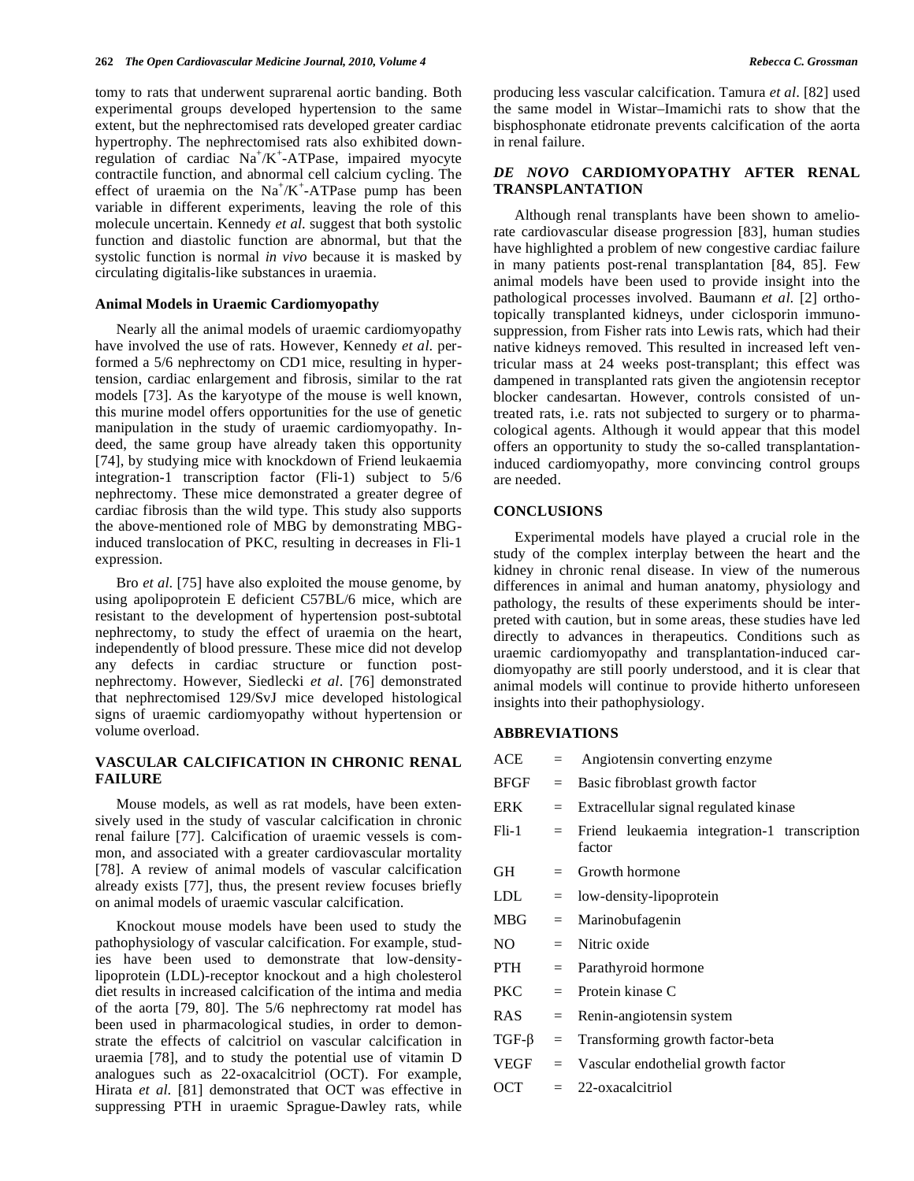tomy to rats that underwent suprarenal aortic banding. Both experimental groups developed hypertension to the same extent, but the nephrectomised rats developed greater cardiac hypertrophy. The nephrectomised rats also exhibited downregulation of cardiac  $Na^+/K^+$ -ATPase, impaired myocyte contractile function, and abnormal cell calcium cycling. The effect of uraemia on the  $Na^+/K^+$ -ATPase pump has been variable in different experiments, leaving the role of this molecule uncertain. Kennedy *et al*. suggest that both systolic function and diastolic function are abnormal, but that the systolic function is normal *in vivo* because it is masked by circulating digitalis-like substances in uraemia.

#### **Animal Models in Uraemic Cardiomyopathy**

 Nearly all the animal models of uraemic cardiomyopathy have involved the use of rats. However, Kennedy *et al*. performed a 5/6 nephrectomy on CD1 mice, resulting in hypertension, cardiac enlargement and fibrosis, similar to the rat models [73]. As the karyotype of the mouse is well known, this murine model offers opportunities for the use of genetic manipulation in the study of uraemic cardiomyopathy. Indeed, the same group have already taken this opportunity [74], by studying mice with knockdown of Friend leukaemia integration-1 transcription factor (Fli-1) subject to 5/6 nephrectomy. These mice demonstrated a greater degree of cardiac fibrosis than the wild type. This study also supports the above-mentioned role of MBG by demonstrating MBGinduced translocation of PKC, resulting in decreases in Fli-1 expression.

 Bro *et al*. [75] have also exploited the mouse genome, by using apolipoprotein E deficient C57BL/6 mice, which are resistant to the development of hypertension post-subtotal nephrectomy, to study the effect of uraemia on the heart, independently of blood pressure. These mice did not develop any defects in cardiac structure or function postnephrectomy. However, Siedlecki *et al*. [76] demonstrated that nephrectomised 129/SvJ mice developed histological signs of uraemic cardiomyopathy without hypertension or volume overload.

# **VASCULAR CALCIFICATION IN CHRONIC RENAL FAILURE**

 Mouse models, as well as rat models, have been extensively used in the study of vascular calcification in chronic renal failure [77]. Calcification of uraemic vessels is common, and associated with a greater cardiovascular mortality [78]. A review of animal models of vascular calcification already exists [77], thus, the present review focuses briefly on animal models of uraemic vascular calcification.

 Knockout mouse models have been used to study the pathophysiology of vascular calcification. For example, studies have been used to demonstrate that low-densitylipoprotein (LDL)-receptor knockout and a high cholesterol diet results in increased calcification of the intima and media of the aorta [79, 80]. The 5/6 nephrectomy rat model has been used in pharmacological studies, in order to demonstrate the effects of calcitriol on vascular calcification in uraemia [78], and to study the potential use of vitamin D analogues such as 22-oxacalcitriol (OCT). For example, Hirata *et al*. [81] demonstrated that OCT was effective in suppressing PTH in uraemic Sprague-Dawley rats, while

producing less vascular calcification. Tamura *et al*. [82] used the same model in Wistar–Imamichi rats to show that the bisphosphonate etidronate prevents calcification of the aorta in renal failure.

# *DE NOVO* **CARDIOMYOPATHY AFTER RENAL TRANSPLANTATION**

 Although renal transplants have been shown to ameliorate cardiovascular disease progression [83], human studies have highlighted a problem of new congestive cardiac failure in many patients post-renal transplantation [84, 85]. Few animal models have been used to provide insight into the pathological processes involved. Baumann *et al*. [2] orthotopically transplanted kidneys, under ciclosporin immunosuppression, from Fisher rats into Lewis rats, which had their native kidneys removed. This resulted in increased left ventricular mass at 24 weeks post-transplant; this effect was dampened in transplanted rats given the angiotensin receptor blocker candesartan. However, controls consisted of untreated rats, i.e. rats not subjected to surgery or to pharmacological agents. Although it would appear that this model offers an opportunity to study the so-called transplantationinduced cardiomyopathy, more convincing control groups are needed.

#### **CONCLUSIONS**

 Experimental models have played a crucial role in the study of the complex interplay between the heart and the kidney in chronic renal disease. In view of the numerous differences in animal and human anatomy, physiology and pathology, the results of these experiments should be interpreted with caution, but in some areas, these studies have led directly to advances in therapeutics. Conditions such as uraemic cardiomyopathy and transplantation-induced cardiomyopathy are still poorly understood, and it is clear that animal models will continue to provide hitherto unforeseen insights into their pathophysiology.

# **ABBREVIATIONS**

| ACE         |     | Angiotensin converting enzyme                          |
|-------------|-----|--------------------------------------------------------|
| BFGF        | $=$ | Basic fibroblast growth factor                         |
| ERK         | $=$ | Extracellular signal regulated kinase                  |
| $Fli-1$     | $=$ | Friend leukaemia integration-1 transcription<br>factor |
| GH          | $=$ | Growth hormone                                         |
| LDL         | $=$ | low-density-lipoprotein                                |
| MBG         | $=$ | Marinobufagenin                                        |
| NO –        |     | $=$ Nitric oxide                                       |
| PTH         | $=$ | Parathyroid hormone                                    |
| PKC.        | $=$ | Protein kinase C                                       |
| RAS         | $=$ | Renin-angiotensin system                               |
| $TGF-\beta$ | $=$ | Transforming growth factor-beta                        |
| VEGF        | $=$ | Vascular endothelial growth factor                     |
| OCT         | $=$ | 22-oxacalcitriol                                       |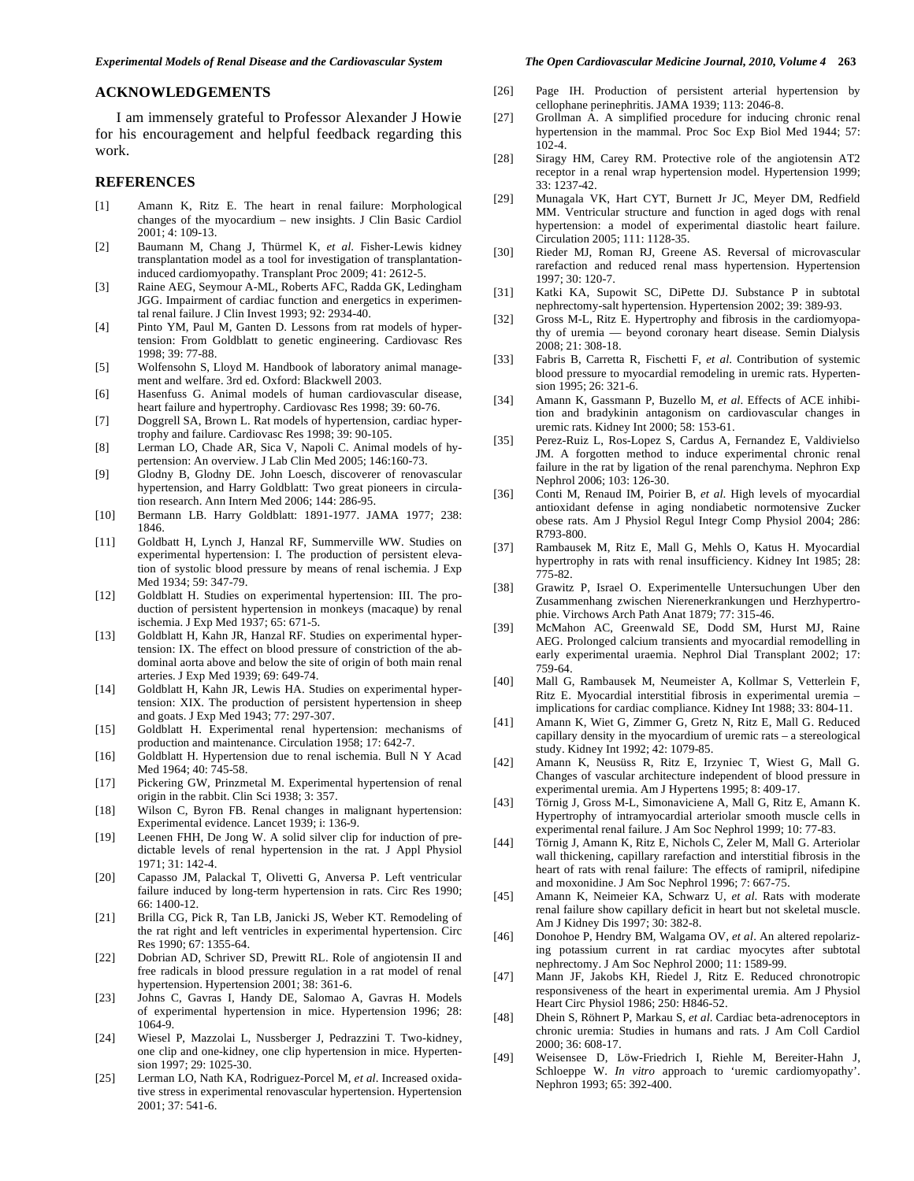#### **ACKNOWLEDGEMENTS**

 I am immensely grateful to Professor Alexander J Howie for his encouragement and helpful feedback regarding this work.

### **REFERENCES**

- [1] Amann K, Ritz E. The heart in renal failure: Morphological changes of the myocardium – new insights. J Clin Basic Cardiol 2001; 4: 109-13.
- [2] Baumann M, Chang J, Thürmel K, *et al*. Fisher-Lewis kidney transplantation model as a tool for investigation of transplantationinduced cardiomyopathy. Transplant Proc 2009; 41: 2612-5.
- [3] Raine AEG, Seymour A-ML, Roberts AFC, Radda GK, Ledingham JGG. Impairment of cardiac function and energetics in experimental renal failure. J Clin Invest 1993; 92: 2934-40.
- [4] Pinto YM, Paul M, Ganten D. Lessons from rat models of hypertension: From Goldblatt to genetic engineering. Cardiovasc Res 1998; 39: 77-88.
- [5] Wolfensohn S, Lloyd M. Handbook of laboratory animal management and welfare. 3rd ed. Oxford: Blackwell 2003.
- [6] Hasenfuss G. Animal models of human cardiovascular disease, heart failure and hypertrophy. Cardiovasc Res 1998; 39: 60-76.
- [7] Doggrell SA, Brown L. Rat models of hypertension, cardiac hypertrophy and failure. Cardiovasc Res 1998; 39: 90-105.
- [8] Lerman LO, Chade AR, Sica V, Napoli C. Animal models of hypertension: An overview. J Lab Clin Med 2005; 146:160-73.
- [9] Glodny B, Glodny DE. John Loesch, discoverer of renovascular hypertension, and Harry Goldblatt: Two great pioneers in circulation research. Ann Intern Med 2006; 144: 286-95.
- [10] Bermann LB. Harry Goldblatt: 1891-1977. JAMA 1977; 238: 1846.
- [11] Goldbatt H, Lynch J, Hanzal RF, Summerville WW. Studies on experimental hypertension: I. The production of persistent elevation of systolic blood pressure by means of renal ischemia. J Exp Med 1934; 59: 347-79.
- [12] Goldblatt H. Studies on experimental hypertension: III. The production of persistent hypertension in monkeys (macaque) by renal ischemia. J Exp Med 1937; 65: 671-5.
- [13] Goldblatt H, Kahn JR, Hanzal RF. Studies on experimental hypertension: IX. The effect on blood pressure of constriction of the abdominal aorta above and below the site of origin of both main renal arteries. J Exp Med 1939; 69: 649-74.
- [14] Goldblatt H, Kahn JR, Lewis HA. Studies on experimental hypertension: XIX. The production of persistent hypertension in sheep and goats. J Exp Med 1943; 77: 297-307.
- [15] Goldblatt H. Experimental renal hypertension: mechanisms of production and maintenance. Circulation 1958; 17: 642-7.
- [16] Goldblatt H. Hypertension due to renal ischemia. Bull N Y Acad Med 1964; 40: 745-58.
- [17] Pickering GW, Prinzmetal M. Experimental hypertension of renal origin in the rabbit. Clin Sci 1938; 3: 357.
- [18] Wilson C, Byron FB. Renal changes in malignant hypertension: Experimental evidence. Lancet 1939; i: 136-9.
- [19] Leenen FHH, De Jong W. A solid silver clip for induction of predictable levels of renal hypertension in the rat. J Appl Physiol 1971; 31: 142-4.
- [20] Capasso JM, Palackal T, Olivetti G, Anversa P. Left ventricular failure induced by long-term hypertension in rats. Circ Res 1990; 66: 1400-12.
- [21] Brilla CG, Pick R, Tan LB, Janicki JS, Weber KT. Remodeling of the rat right and left ventricles in experimental hypertension. Circ Res 1990; 67: 1355-64.
- [22] Dobrian AD, Schriver SD, Prewitt RL. Role of angiotensin II and free radicals in blood pressure regulation in a rat model of renal hypertension. Hypertension 2001; 38: 361-6.
- [23] Johns C, Gavras I, Handy DE, Salomao A, Gavras H. Models of experimental hypertension in mice. Hypertension 1996; 28: 1064-9.
- [24] Wiesel P, Mazzolai L, Nussberger J, Pedrazzini T. Two-kidney, one clip and one-kidney, one clip hypertension in mice. Hypertension 1997; 29: 1025-30.
- [25] Lerman LO, Nath KA, Rodriguez-Porcel M, *et al*. Increased oxidative stress in experimental renovascular hypertension. Hypertension 2001; 37: 541-6.
- [26] Page IH. Production of persistent arterial hypertension by cellophane perinephritis. JAMA 1939; 113: 2046-8.
- [27] Grollman A. A simplified procedure for inducing chronic renal hypertension in the mammal. Proc Soc Exp Biol Med 1944; 57: 102-4.
- [28] Siragy HM, Carey RM. Protective role of the angiotensin AT2 receptor in a renal wrap hypertension model. Hypertension 1999; 33: 1237-42.
- [29] Munagala VK, Hart CYT, Burnett Jr JC, Meyer DM, Redfield MM. Ventricular structure and function in aged dogs with renal hypertension: a model of experimental diastolic heart failure. Circulation 2005; 111: 1128-35.
- [30] Rieder MJ, Roman RJ, Greene AS. Reversal of microvascular rarefaction and reduced renal mass hypertension. Hypertension 1997; 30: 120-7.
- [31] Katki KA, Supowit SC, DiPette DJ. Substance P in subtotal nephrectomy-salt hypertension. Hypertension 2002; 39: 389-93.
- [32] Gross M-L, Ritz E. Hypertrophy and fibrosis in the cardiomyopathy of uremia — beyond coronary heart disease. Semin Dialysis 2008; 21: 308-18.
- [33] Fabris B, Carretta R, Fischetti F, *et al*. Contribution of systemic blood pressure to myocardial remodeling in uremic rats. Hypertension 1995; 26: 321-6.
- [34] Amann K, Gassmann P, Buzello M, *et al*. Effects of ACE inhibition and bradykinin antagonism on cardiovascular changes in uremic rats. Kidney Int 2000; 58: 153-61.
- [35] Perez-Ruiz L, Ros-Lopez S, Cardus A, Fernandez E, Valdivielso JM. A forgotten method to induce experimental chronic renal failure in the rat by ligation of the renal parenchyma. Nephron Exp Nephrol 2006; 103: 126-30.
- [36] Conti M, Renaud IM, Poirier B, *et al*. High levels of myocardial antioxidant defense in aging nondiabetic normotensive Zucker obese rats. Am J Physiol Regul Integr Comp Physiol 2004; 286: R793-800.
- [37] Rambausek M, Ritz E, Mall G, Mehls O, Katus H. Myocardial hypertrophy in rats with renal insufficiency. Kidney Int 1985; 28: 775-82.
- [38] Grawitz P, Israel O. Experimentelle Untersuchungen Uber den Zusammenhang zwischen Nierenerkrankungen und Herzhypertrophie. Virchows Arch Path Anat 1879; 77: 315-46.
- [39] McMahon AC, Greenwald SE, Dodd SM, Hurst MJ, Raine AEG. Prolonged calcium transients and myocardial remodelling in early experimental uraemia. Nephrol Dial Transplant 2002; 17: 759-64.
- [40] Mall G, Rambausek M, Neumeister A, Kollmar S, Vetterlein F, Ritz E. Myocardial interstitial fibrosis in experimental uremia – implications for cardiac compliance. Kidney Int 1988; 33: 804-11.
- [41] Amann K, Wiet G, Zimmer G, Gretz N, Ritz E, Mall G. Reduced capillary density in the myocardium of uremic rats – a stereological study. Kidney Int 1992; 42: 1079-85.
- [42] Amann K, Neusüss R, Ritz E, Irzyniec T, Wiest G, Mall G. Changes of vascular architecture independent of blood pressure in experimental uremia. Am J Hypertens 1995; 8: 409-17.
- [43] Törnig J, Gross M-L, Simonaviciene A, Mall G, Ritz E, Amann K. Hypertrophy of intramyocardial arteriolar smooth muscle cells in experimental renal failure. J Am Soc Nephrol 1999; 10: 77-83.
- [44] Törnig J, Amann K, Ritz E, Nichols C, Zeler M, Mall G. Arteriolar wall thickening, capillary rarefaction and interstitial fibrosis in the heart of rats with renal failure: The effects of ramipril, nifedipine and moxonidine. J Am Soc Nephrol 1996; 7: 667-75.
- [45] Amann K, Neimeier KA, Schwarz U, *et al*. Rats with moderate renal failure show capillary deficit in heart but not skeletal muscle. Am J Kidney Dis 1997; 30: 382-8.
- [46] Donohoe P, Hendry BM, Walgama OV, *et al*. An altered repolarizing potassium current in rat cardiac myocytes after subtotal nephrectomy. J Am Soc Nephrol 2000; 11: 1589-99.
- [47] Mann JF, Jakobs KH, Riedel J, Ritz E. Reduced chronotropic responsiveness of the heart in experimental uremia. Am J Physiol Heart Circ Physiol 1986; 250: H846-52.
- [48] Dhein S, Röhnert P, Markau S, *et al*. Cardiac beta-adrenoceptors in chronic uremia: Studies in humans and rats. J Am Coll Cardiol 2000; 36: 608-17.
- [49] Weisensee D, Löw-Friedrich I, Riehle M, Bereiter-Hahn J, Schloeppe W. *In vitro* approach to 'uremic cardiomyopathy'. Nephron 1993; 65: 392-400.